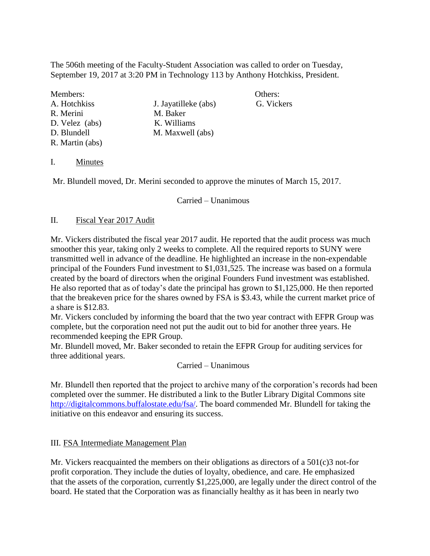The 506th meeting of the Faculty-Student Association was called to order on Tuesday, September 19, 2017 at 3:20 PM in Technology 113 by Anthony Hotchkiss, President.

| Members:        |                      | Others:    |
|-----------------|----------------------|------------|
| A. Hotchkiss    | J. Jayatilleke (abs) | G. Vickers |
| R. Merini       | M. Baker             |            |
| D. Velez (abs)  | K. Williams          |            |
| D. Blundell     | M. Maxwell (abs)     |            |
| R. Martin (abs) |                      |            |

I. Minutes

Mr. Blundell moved, Dr. Merini seconded to approve the minutes of March 15, 2017.

Carried – Unanimous

# II. Fiscal Year 2017 Audit

Mr. Vickers distributed the fiscal year 2017 audit. He reported that the audit process was much smoother this year, taking only 2 weeks to complete. All the required reports to SUNY were transmitted well in advance of the deadline. He highlighted an increase in the non-expendable principal of the Founders Fund investment to \$1,031,525. The increase was based on a formula created by the board of directors when the original Founders Fund investment was established. He also reported that as of today's date the principal has grown to \$1,125,000. He then reported that the breakeven price for the shares owned by FSA is \$3.43, while the current market price of a share is \$12.83.

Mr. Vickers concluded by informing the board that the two year contract with EFPR Group was complete, but the corporation need not put the audit out to bid for another three years. He recommended keeping the EPR Group.

Mr. Blundell moved, Mr. Baker seconded to retain the EFPR Group for auditing services for three additional years.

Carried – Unanimous

Mr. Blundell then reported that the project to archive many of the corporation's records had been completed over the summer. He distributed a link to the Butler Library Digital Commons site [http://digitalcommons.buffalostate.edu/fsa/.](http://digitalcommons.buffalostate.edu/fsa/) The board commended Mr. Blundell for taking the initiative on this endeavor and ensuring its success.

#### III. FSA Intermediate Management Plan

Mr. Vickers reacquainted the members on their obligations as directors of a  $501(c)3$  not-for profit corporation. They include the duties of loyalty, obedience, and care. He emphasized that the assets of the corporation, currently \$1,225,000, are legally under the direct control of the board. He stated that the Corporation was as financially healthy as it has been in nearly two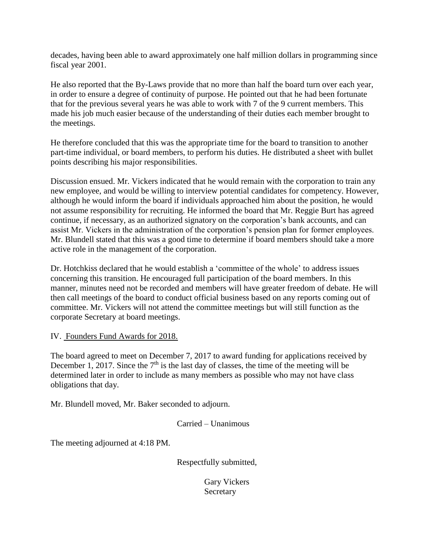decades, having been able to award approximately one half million dollars in programming since fiscal year 2001.

He also reported that the By-Laws provide that no more than half the board turn over each year, in order to ensure a degree of continuity of purpose. He pointed out that he had been fortunate that for the previous several years he was able to work with 7 of the 9 current members. This made his job much easier because of the understanding of their duties each member brought to the meetings.

He therefore concluded that this was the appropriate time for the board to transition to another part-time individual, or board members, to perform his duties. He distributed a sheet with bullet points describing his major responsibilities.

Discussion ensued. Mr. Vickers indicated that he would remain with the corporation to train any new employee, and would be willing to interview potential candidates for competency. However, although he would inform the board if individuals approached him about the position, he would not assume responsibility for recruiting. He informed the board that Mr. Reggie Burt has agreed continue, if necessary, as an authorized signatory on the corporation's bank accounts, and can assist Mr. Vickers in the administration of the corporation's pension plan for former employees. Mr. Blundell stated that this was a good time to determine if board members should take a more active role in the management of the corporation.

Dr. Hotchkiss declared that he would establish a 'committee of the whole' to address issues concerning this transition. He encouraged full participation of the board members. In this manner, minutes need not be recorded and members will have greater freedom of debate. He will then call meetings of the board to conduct official business based on any reports coming out of committee. Mr. Vickers will not attend the committee meetings but will still function as the corporate Secretary at board meetings.

# IV. Founders Fund Awards for 2018.

The board agreed to meet on December 7, 2017 to award funding for applications received by December 1, 2017. Since the  $7<sup>th</sup>$  is the last day of classes, the time of the meeting will be determined later in order to include as many members as possible who may not have class obligations that day.

Mr. Blundell moved, Mr. Baker seconded to adjourn.

Carried – Unanimous

The meeting adjourned at 4:18 PM.

Respectfully submitted,

Gary Vickers **Secretary**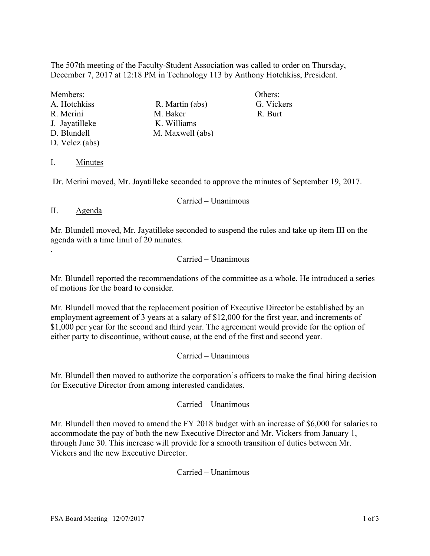The 507th meeting of the Faculty-Student Association was called to order on Thursday, December 7, 2017 at 12:18 PM in Technology 113 by Anthony Hotchkiss, President.

| Members:       |                  | Others:  |
|----------------|------------------|----------|
| A. Hotchkiss   | R. Martin (abs)  | G. Vicke |
| R. Merini      | M. Baker         | R. Burt  |
| J. Jayatilleke | K. Williams      |          |
| D. Blundell    | M. Maxwell (abs) |          |
| D. Velez (abs) |                  |          |

G. Vickers

I. Minutes

Dr. Merini moved, Mr. Jayatilleke seconded to approve the minutes of September 19, 2017.

## Carried – Unanimous

## II. Agenda

.

Mr. Blundell moved, Mr. Jayatilleke seconded to suspend the rules and take up item III on the agenda with a time limit of 20 minutes.

Carried – Unanimous

Mr. Blundell reported the recommendations of the committee as a whole. He introduced a series of motions for the board to consider.

Mr. Blundell moved that the replacement position of Executive Director be established by an employment agreement of 3 years at a salary of \$12,000 for the first year, and increments of \$1,000 per year for the second and third year. The agreement would provide for the option of either party to discontinue, without cause, at the end of the first and second year.

Carried – Unanimous

Mr. Blundell then moved to authorize the corporation's officers to make the final hiring decision for Executive Director from among interested candidates.

Carried – Unanimous

Mr. Blundell then moved to amend the FY 2018 budget with an increase of \$6,000 for salaries to accommodate the pay of both the new Executive Director and Mr. Vickers from January 1, through June 30. This increase will provide for a smooth transition of duties between Mr. Vickers and the new Executive Director.

Carried – Unanimous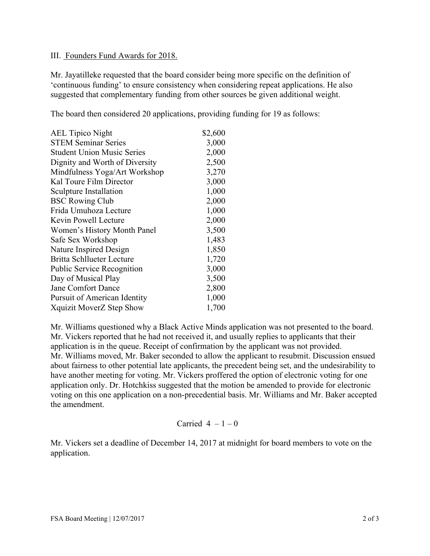## III. Founders Fund Awards for 2018.

Mr. Jayatilleke requested that the board consider being more specific on the definition of 'continuous funding' to ensure consistency when considering repeat applications. He also suggested that complementary funding from other sources be given additional weight.

The board then considered 20 applications, providing funding for 19 as follows:

| <b>AEL Tipico Night</b>           | \$2,600 |
|-----------------------------------|---------|
| <b>STEM Seminar Series</b>        | 3,000   |
| <b>Student Union Music Series</b> | 2,000   |
| Dignity and Worth of Diversity    | 2,500   |
| Mindfulness Yoga/Art Workshop     | 3,270   |
| Kal Toure Film Director           | 3,000   |
| Sculpture Installation            | 1,000   |
| <b>BSC Rowing Club</b>            | 2,000   |
| Frida Umuhoza Lecture             | 1,000   |
| Kevin Powell Lecture              | 2,000   |
| Women's History Month Panel       | 3,500   |
| Safe Sex Workshop                 | 1,483   |
| Nature Inspired Design            | 1,850   |
| Britta Schllueter Lecture         | 1,720   |
| <b>Public Service Recognition</b> | 3,000   |
| Day of Musical Play               | 3,500   |
| <b>Jane Comfort Dance</b>         | 2,800   |
| Pursuit of American Identity      | 1,000   |
| Xquizit MoverZ Step Show          | 1,700   |

Mr. Williams questioned why a Black Active Minds application was not presented to the board. Mr. Vickers reported that he had not received it, and usually replies to applicants that their application is in the queue. Receipt of confirmation by the applicant was not provided. Mr. Williams moved, Mr. Baker seconded to allow the applicant to resubmit. Discussion ensued about fairness to other potential late applicants, the precedent being set, and the undesirability to have another meeting for voting. Mr. Vickers proffered the option of electronic voting for one application only. Dr. Hotchkiss suggested that the motion be amended to provide for electronic voting on this one application on a non-precedential basis. Mr. Williams and Mr. Baker accepted the amendment.

# Carried  $4 - 1 - 0$

Mr. Vickers set a deadline of December 14, 2017 at midnight for board members to vote on the application.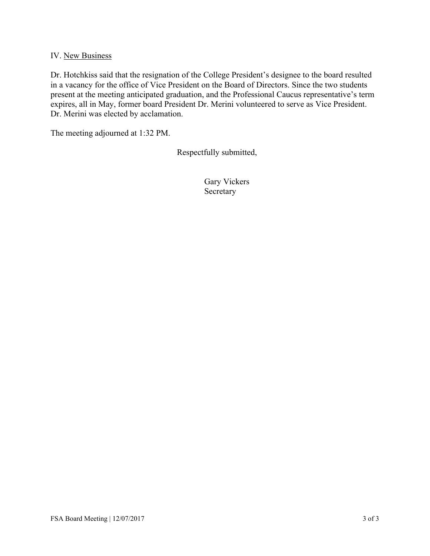# IV. New Business

Dr. Hotchkiss said that the resignation of the College President's designee to the board resulted in a vacancy for the office of Vice President on the Board of Directors. Since the two students present at the meeting anticipated graduation, and the Professional Caucus representative's term expires, all in May, former board President Dr. Merini volunteered to serve as Vice President. Dr. Merini was elected by acclamation.

The meeting adjourned at 1:32 PM.

Respectfully submitted,

Gary Vickers Secretary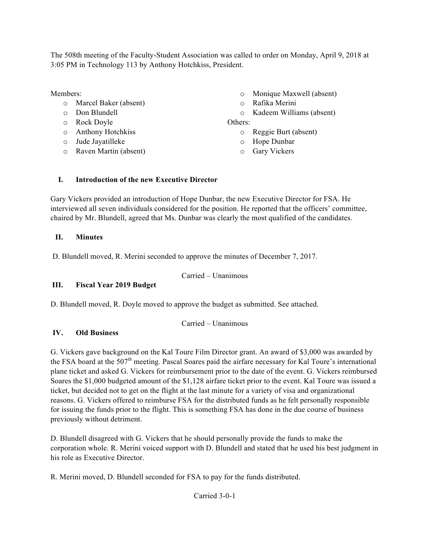The 508th meeting of the Faculty-Student Association was called to order on Monday, April 9, 2018 at 3:05 PM in Technology 113 by Anthony Hotchkiss, President.

Members:

- o Marcel Baker (absent)
- o Don Blundell
- o Rock Doyle
- o Anthony Hotchkiss
- o Jude Jayatilleke
- o Raven Martin (absent)
- o Monique Maxwell (absent)
- o Rafika Merini
- o Kadeem Williams (absent)

Others:

- o Reggie Burt (absent)
- o Hope Dunbar
- o Gary Vickers

# **I. Introduction of the new Executive Director**

Gary Vickers provided an introduction of Hope Dunbar, the new Executive Director for FSA. He interviewed all seven individuals considered for the position. He reported that the officers' committee, chaired by Mr. Blundell, agreed that Ms. Dunbar was clearly the most qualified of the candidates.

# **II. Minutes**

D. Blundell moved, R. Merini seconded to approve the minutes of December 7, 2017.

Carried – Unanimous

# **III. Fiscal Year 2019 Budget**

D. Blundell moved, R. Doyle moved to approve the budget as submitted. See attached.

Carried – Unanimous

# **IV. Old Business**

G. Vickers gave background on the Kal Toure Film Director grant. An award of \$3,000 was awarded by the FSA board at the  $507<sup>th</sup>$  meeting. Pascal Soares paid the airfare necessary for Kal Toure's international plane ticket and asked G. Vickers for reimbursement prior to the date of the event. G. Vickers reimbursed Soares the \$1,000 budgeted amount of the \$1,128 airfare ticket prior to the event. Kal Toure was issued a ticket, but decided not to get on the flight at the last minute for a variety of visa and organizational reasons. G. Vickers offered to reimburse FSA for the distributed funds as he felt personally responsible for issuing the funds prior to the flight. This is something FSA has done in the due course of business previously without detriment.

D. Blundell disagreed with G. Vickers that he should personally provide the funds to make the corporation whole. R. Merini voiced support with D. Blundell and stated that he used his best judgment in his role as Executive Director.

R. Merini moved, D. Blundell seconded for FSA to pay for the funds distributed.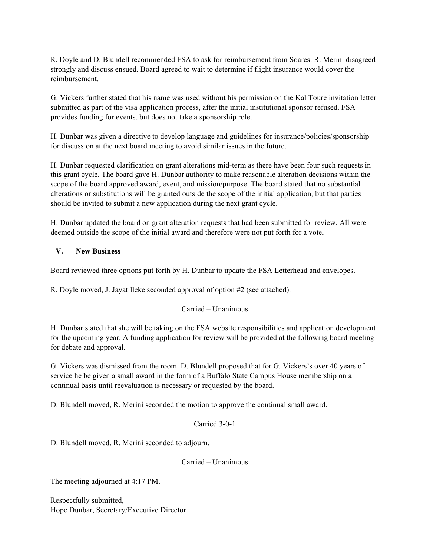R. Doyle and D. Blundell recommended FSA to ask for reimbursement from Soares. R. Merini disagreed strongly and discuss ensued. Board agreed to wait to determine if flight insurance would cover the reimbursement.

G. Vickers further stated that his name was used without his permission on the Kal Toure invitation letter submitted as part of the visa application process, after the initial institutional sponsor refused. FSA provides funding for events, but does not take a sponsorship role.

H. Dunbar was given a directive to develop language and guidelines for insurance/policies/sponsorship for discussion at the next board meeting to avoid similar issues in the future.

H. Dunbar requested clarification on grant alterations mid-term as there have been four such requests in this grant cycle. The board gave H. Dunbar authority to make reasonable alteration decisions within the scope of the board approved award, event, and mission/purpose. The board stated that no substantial alterations or substitutions will be granted outside the scope of the initial application, but that parties should be invited to submit a new application during the next grant cycle.

H. Dunbar updated the board on grant alteration requests that had been submitted for review. All were deemed outside the scope of the initial award and therefore were not put forth for a vote.

## **V. New Business**

Board reviewed three options put forth by H. Dunbar to update the FSA Letterhead and envelopes.

R. Doyle moved, J. Jayatilleke seconded approval of option #2 (see attached).

# Carried – Unanimous

H. Dunbar stated that she will be taking on the FSA website responsibilities and application development for the upcoming year. A funding application for review will be provided at the following board meeting for debate and approval.

G. Vickers was dismissed from the room. D. Blundell proposed that for G. Vickers's over 40 years of service he be given a small award in the form of a Buffalo State Campus House membership on a continual basis until reevaluation is necessary or requested by the board.

D. Blundell moved, R. Merini seconded the motion to approve the continual small award.

#### Carried 3-0-1

D. Blundell moved, R. Merini seconded to adjourn.

#### Carried – Unanimous

The meeting adjourned at 4:17 PM.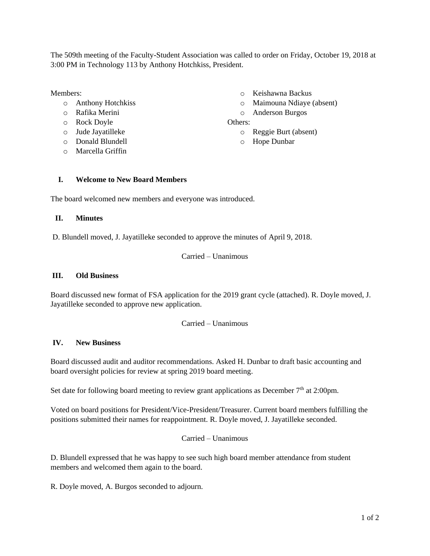The 509th meeting of the Faculty-Student Association was called to order on Friday, October 19, 2018 at 3:00 PM in Technology 113 by Anthony Hotchkiss, President.

Members:

- o Anthony Hotchkiss
- o Rafika Merini
- o Rock Doyle
- o Jude Jayatilleke
- o Donald Blundell
- o Marcella Griffin
- o Keishawna Backus
- o Maimouna Ndiaye (absent)
- o Anderson Burgos

Others:

- o Reggie Burt (absent)
- o Hope Dunbar

#### **I. Welcome to New Board Members**

The board welcomed new members and everyone was introduced.

#### **II. Minutes**

D. Blundell moved, J. Jayatilleke seconded to approve the minutes of April 9, 2018.

Carried – Unanimous

#### **III. Old Business**

Board discussed new format of FSA application for the 2019 grant cycle (attached). R. Doyle moved, J. Jayatilleke seconded to approve new application.

Carried – Unanimous

#### **IV. New Business**

Board discussed audit and auditor recommendations. Asked H. Dunbar to draft basic accounting and board oversight policies for review at spring 2019 board meeting.

Set date for following board meeting to review grant applications as December  $7<sup>th</sup>$  at 2:00pm.

Voted on board positions for President/Vice-President/Treasurer. Current board members fulfilling the positions submitted their names for reappointment. R. Doyle moved, J. Jayatilleke seconded.

#### Carried – Unanimous

D. Blundell expressed that he was happy to see such high board member attendance from student members and welcomed them again to the board.

R. Doyle moved, A. Burgos seconded to adjourn.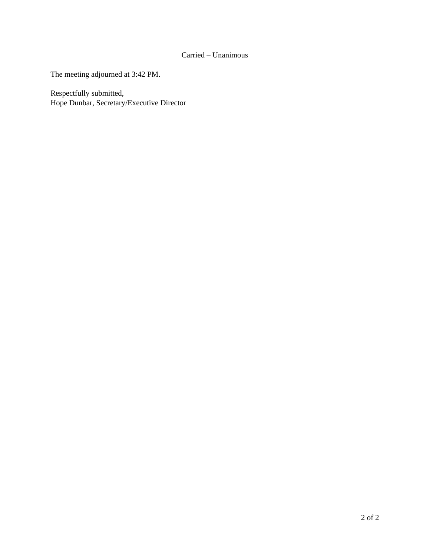# Carried – Unanimous

The meeting adjourned at 3:42 PM.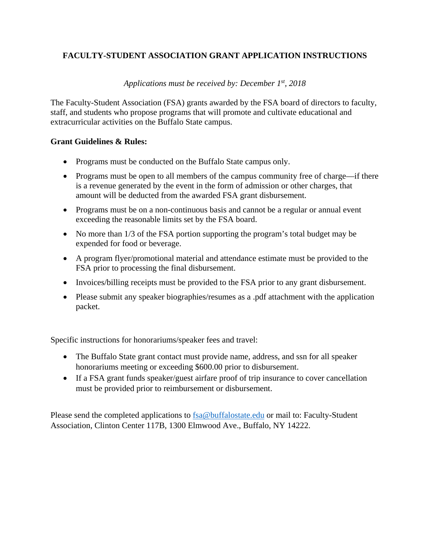# **FACULTY-STUDENT ASSOCIATION GRANT APPLICATION INSTRUCTIONS**

# *Applications must be received by: December 1st, 2018*

The Faculty-Student Association (FSA) grants awarded by the FSA board of directors to faculty, staff, and students who propose programs that will promote and cultivate educational and extracurricular activities on the Buffalo State campus.

# **Grant Guidelines & Rules:**

- Programs must be conducted on the Buffalo State campus only.
- Programs must be open to all members of the campus community free of charge—if there is a revenue generated by the event in the form of admission or other charges, that amount will be deducted from the awarded FSA grant disbursement.
- Programs must be on a non-continuous basis and cannot be a regular or annual event exceeding the reasonable limits set by the FSA board.
- No more than 1/3 of the FSA portion supporting the program's total budget may be expended for food or beverage.
- A program flyer/promotional material and attendance estimate must be provided to the FSA prior to processing the final disbursement.
- Invoices/billing receipts must be provided to the FSA prior to any grant disbursement.
- Please submit any speaker biographies/resumes as a .pdf attachment with the application packet.

Specific instructions for honorariums/speaker fees and travel:

- The Buffalo State grant contact must provide name, address, and ssn for all speaker honorariums meeting or exceeding \$600.00 prior to disbursement.
- If a FSA grant funds speaker/guest airfare proof of trip insurance to cover cancellation must be provided prior to reimbursement or disbursement.

Please send the completed applications to  $fsa@$ buffalostate.edu or mail to: Faculty-Student Association, Clinton Center 117B, 1300 Elmwood Ave., Buffalo, NY 14222.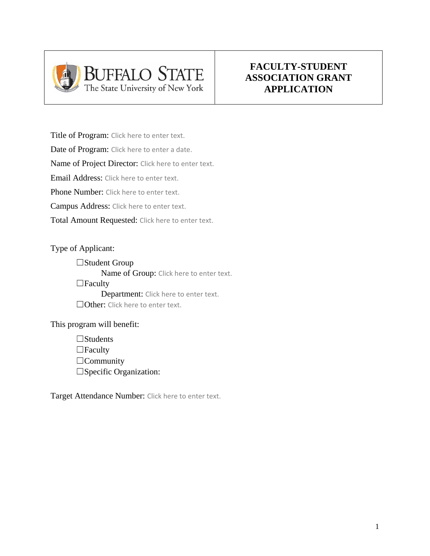

**BUFFALO STATE**  The State University of New York

# **FACULTY-STUDENT ASSOCIATION GRANT APPLICATION**

Title of Program: Click here to enter text. Date of Program: Click here to enter a date. Name of Project Director: Click here to enter text. Email Address: Click here to enter text. Phone Number: Click here to enter text. Campus Address: Click here to enter text. Total Amount Requested: Click here to enter text.

Type of Applicant:

☐Student Group Name of Group: Click here to enter text.  $\Box$ Faculty Department: Click here to enter text. □Other: Click here to enter text.

# This program will benefit:

☐Students  $\Box$ Faculty ☐Community ☐Specific Organization:

Target Attendance Number: Click here to enter text.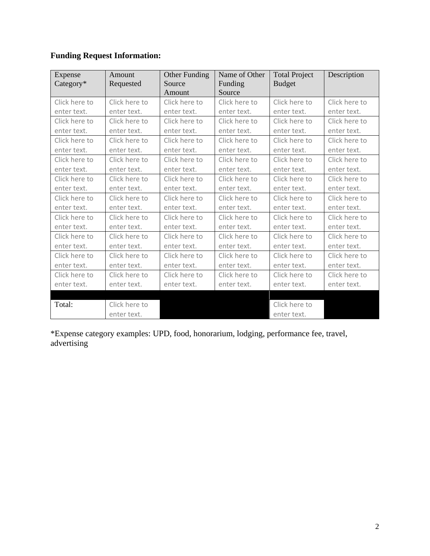# **Funding Request Information:**

| Expense<br>Category* | Amount<br>Requested          | Other Funding<br>Source<br>Amount | Name of Other<br>Funding<br>Source | <b>Total Project</b><br><b>Budget</b> | Description   |
|----------------------|------------------------------|-----------------------------------|------------------------------------|---------------------------------------|---------------|
| Click here to        | Click here to                | Click here to                     | Click here to                      | Click here to                         | Click here to |
| enter text.          | enter text.                  | enter text.                       | enter text.                        | enter text.                           | enter text.   |
| Click here to        | Click here to                | Click here to                     | Click here to                      | Click here to                         | Click here to |
| enter text.          | enter text.                  | enter text.                       | enter text.                        | enter text.                           | enter text.   |
| Click here to        | Click here to                | Click here to                     | Click here to                      | Click here to                         | Click here to |
| enter text.          | enter text.                  | enter text.                       | enter text.                        | enter text.                           | enter text.   |
| Click here to        | Click here to                | Click here to                     | Click here to                      | Click here to                         | Click here to |
| enter text.          | enter text.                  | enter text.                       | enter text.                        | enter text.                           | enter text.   |
| Click here to        | Click here to                | Click here to                     | Click here to                      | Click here to                         | Click here to |
| enter text.          | enter text.                  | enter text.                       | enter text.                        | enter text.                           | enter text.   |
| Click here to        | Click here to                | Click here to                     | Click here to                      | Click here to                         | Click here to |
| enter text.          | enter text.                  | enter text.                       | enter text.                        | enter text.                           | enter text.   |
| Click here to        | Click here to                | Click here to                     | Click here to                      | Click here to                         | Click here to |
| enter text.          | enter text.                  | enter text.                       | enter text.                        | enter text.                           | enter text.   |
| Click here to        | Click here to                | Click here to                     | Click here to                      | Click here to                         | Click here to |
| enter text.          | enter text.                  | enter text.                       | enter text.                        | enter text.                           | enter text.   |
| Click here to        | Click here to                | Click here to                     | Click here to                      | Click here to                         | Click here to |
| enter text.          | enter text.                  | enter text.                       | enter text.                        | enter text.                           | enter text.   |
| Click here to        | Click here to                | Click here to                     | Click here to                      | Click here to                         | Click here to |
| enter text.          | enter text.                  | enter text.                       | enter text.                        | enter text.                           | enter text.   |
| Total:               | Click here to<br>enter text. |                                   |                                    | Click here to<br>enter text.          |               |

\*Expense category examples: UPD, food, honorarium, lodging, performance fee, travel, advertising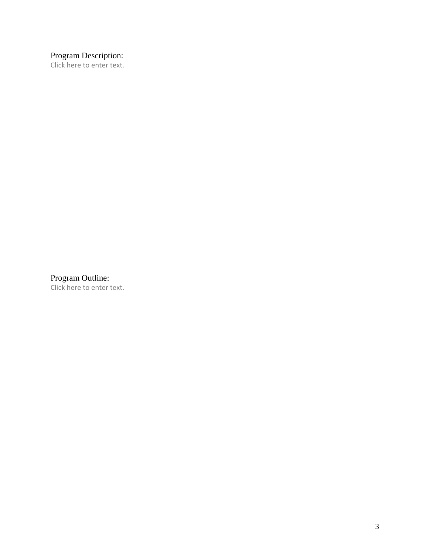# Program Description:

Click here to enter text.

Program Outline:

Click here to enter text.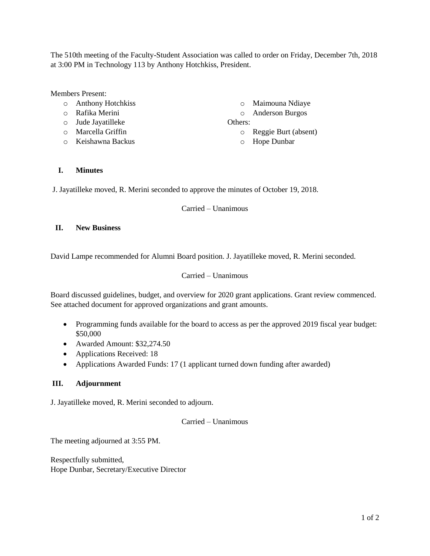The 510th meeting of the Faculty-Student Association was called to order on Friday, December 7th, 2018 at 3:00 PM in Technology 113 by Anthony Hotchkiss, President.

Members Present:

- o Anthony Hotchkiss
- o Rafika Merini
- o Jude Jayatilleke
- o Marcella Griffin
- o Keishawna Backus
- o Maimouna Ndiaye
- o Anderson Burgos

Others:

- o Reggie Burt (absent)
- o Hope Dunbar

# **I. Minutes**

J. Jayatilleke moved, R. Merini seconded to approve the minutes of October 19, 2018.

## Carried – Unanimous

#### **II. New Business**

David Lampe recommended for Alumni Board position. J. Jayatilleke moved, R. Merini seconded.

Carried – Unanimous

Board discussed guidelines, budget, and overview for 2020 grant applications. Grant review commenced. See attached document for approved organizations and grant amounts.

- Programming funds available for the board to access as per the approved 2019 fiscal year budget: \$50,000
- Awarded Amount: \$32,274.50
- Applications Received: 18
- Applications Awarded Funds: 17 (1 applicant turned down funding after awarded)

#### **III. Adjournment**

J. Jayatilleke moved, R. Merini seconded to adjourn.

#### Carried – Unanimous

The meeting adjourned at 3:55 PM.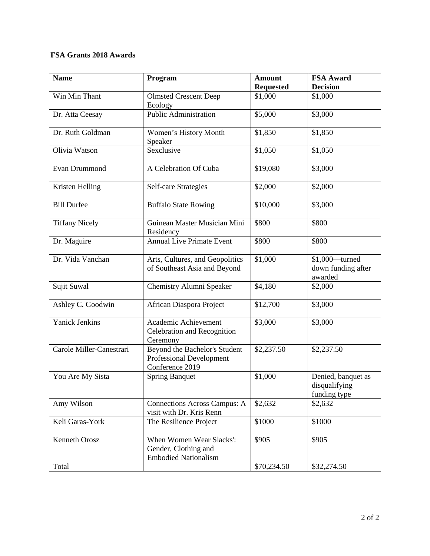# **FSA Grants 2018 Awards**

| <b>Name</b>              | Program                                                                             | <b>Amount</b>    | <b>FSA Award</b>                                    |
|--------------------------|-------------------------------------------------------------------------------------|------------------|-----------------------------------------------------|
|                          |                                                                                     | <b>Requested</b> | <b>Decision</b>                                     |
| Win Min Thant            | <b>Olmsted Crescent Deep</b><br>Ecology                                             | \$1,000          | \$1,000                                             |
| Dr. Atta Ceesay          | <b>Public Administration</b>                                                        | \$5,000          | \$3,000                                             |
| Dr. Ruth Goldman         | Women's History Month<br>Speaker                                                    | \$1,850          | \$1,850                                             |
| Olivia Watson            | Sexclusive                                                                          | \$1,050          | \$1,050                                             |
| Evan Drummond            | A Celebration Of Cuba                                                               | \$19,080         | \$3,000                                             |
| Kristen Helling          | Self-care Strategies                                                                | \$2,000          | \$2,000                                             |
| <b>Bill Durfee</b>       | <b>Buffalo State Rowing</b>                                                         | \$10,000         | \$3,000                                             |
| <b>Tiffany Nicely</b>    | Guinean Master Musician Mini<br>Residency                                           | \$800            | \$800                                               |
| Dr. Maguire              | <b>Annual Live Primate Event</b>                                                    | \$800            | \$800                                               |
| Dr. Vida Vanchan         | Arts, Cultures, and Geopolitics<br>of Southeast Asia and Beyond                     | \$1,000          | \$1,000-turned<br>down funding after<br>awarded     |
| Sujit Suwal              | Chemistry Alumni Speaker                                                            | \$4,180          | \$2,000                                             |
| Ashley C. Goodwin        | African Diaspora Project                                                            | \$12,700         | \$3,000                                             |
| <b>Yanick Jenkins</b>    | Academic Achievement<br>Celebration and Recognition<br>Ceremony                     | \$3,000          | \$3,000                                             |
| Carole Miller-Canestrari | Beyond the Bachelor's Student<br><b>Professional Development</b><br>Conference 2019 | \$2,237.50       | \$2,237.50                                          |
| You Are My Sista         | <b>Spring Banquet</b>                                                               | \$1,000          | Denied, banquet as<br>disqualifying<br>funding type |
| Amy Wilson               | <b>Connections Across Campus: A</b><br>visit with Dr. Kris Renn                     | \$2,632          | \$2,632                                             |
| Keli Garas-York          | The Resilience Project                                                              | \$1000           | \$1000                                              |
| <b>Kenneth Orosz</b>     | When Women Wear Slacks':<br>Gender, Clothing and<br><b>Embodied Nationalism</b>     | \$905            | \$905                                               |
| Total                    |                                                                                     | \$70,234.50      | \$32,274.50                                         |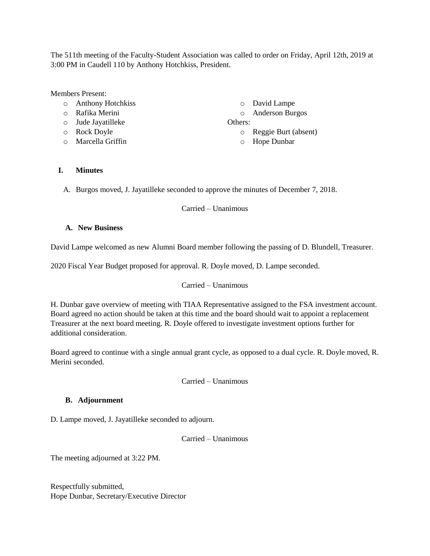The 511th meeting of the Faculty-Student Association was called to order on Friday, April 12th, 2019 at 3:00 PM in Caudell 110 by Anthony Hotchkiss, President.

Members Present:

- o Anthony Hotchkiss
- o Rafika Merini
- o Jude Jayatilleke
- o Rock Doyle
- o Marcella Griffin
- o David Lampe
- o Anderson Burgos

Others:

- o Reggie Burt (absent)
- o Hope Dunbar

# **I. Minutes**

A. Burgos moved, J. Jayatilleke seconded to approve the minutes of December 7, 2018.

## Carried – Unanimous

## **A. New Business**

David Lampe welcomed as new Alumni Board member following the passing of D. Blundell, Treasurer.

2020 Fiscal Year Budget proposed for approval. R. Doyle moved, D. Lampe seconded.

Carried – Unanimous

H. Dunbar gave overview of meeting with TIAA Representative assigned to the FSA investment account. Board agreed no action should be taken at this time and the board should wait to appoint a replacement Treasurer at the next board meeting. R. Doyle offered to investigate investment options further for additional consideration.

Board agreed to continue with a single annual grant cycle, as opposed to a dual cycle. R. Doyle moved, R. Merini seconded.

#### Carried – Unanimous

# **B. Adjournment**

D. Lampe moved, J. Jayatilleke seconded to adjourn.

Carried – Unanimous

The meeting adjourned at 3:22 PM.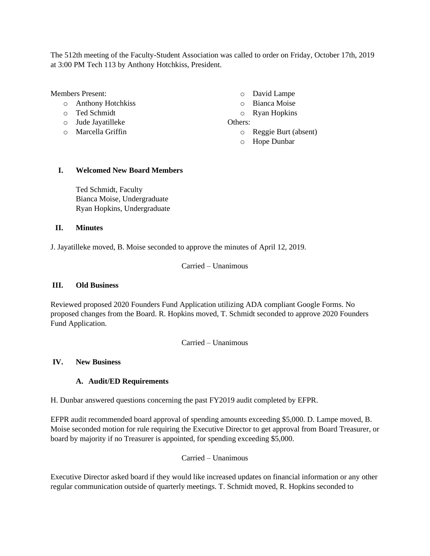The 512th meeting of the Faculty-Student Association was called to order on Friday, October 17th, 2019 at 3:00 PM Tech 113 by Anthony Hotchkiss, President.

Members Present:

- o Anthony Hotchkiss
- o Ted Schmidt
- o Jude Jayatilleke
- o Marcella Griffin
- o David Lampe
- o Bianca Moise
- o Ryan Hopkins

Others:

- o Reggie Burt (absent)
- o Hope Dunbar

## **I. Welcomed New Board Members**

Ted Schmidt, Faculty Bianca Moise, Undergraduate Ryan Hopkins, Undergraduate

#### **II. Minutes**

J. Jayatilleke moved, B. Moise seconded to approve the minutes of April 12, 2019.

## Carried – Unanimous

#### **III. Old Business**

Reviewed proposed 2020 Founders Fund Application utilizing ADA compliant Google Forms. No proposed changes from the Board. R. Hopkins moved, T. Schmidt seconded to approve 2020 Founders Fund Application.

Carried – Unanimous

#### **IV. New Business**

# **A. Audit/ED Requirements**

H. Dunbar answered questions concerning the past FY2019 audit completed by EFPR.

EFPR audit recommended board approval of spending amounts exceeding \$5,000. D. Lampe moved, B. Moise seconded motion for rule requiring the Executive Director to get approval from Board Treasurer, or board by majority if no Treasurer is appointed, for spending exceeding \$5,000.

Carried – Unanimous

Executive Director asked board if they would like increased updates on financial information or any other regular communication outside of quarterly meetings. T. Schmidt moved, R. Hopkins seconded to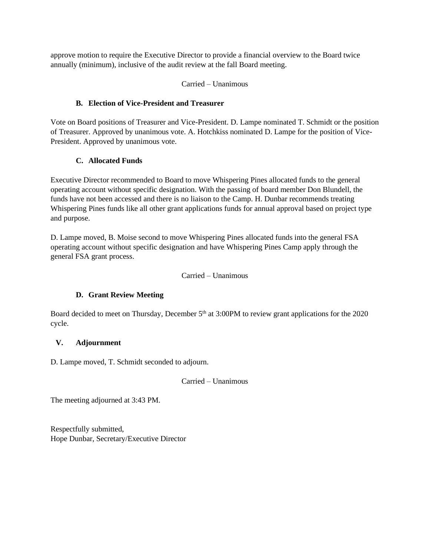approve motion to require the Executive Director to provide a financial overview to the Board twice annually (minimum), inclusive of the audit review at the fall Board meeting.

Carried – Unanimous

## **B. Election of Vice-President and Treasurer**

Vote on Board positions of Treasurer and Vice-President. D. Lampe nominated T. Schmidt or the position of Treasurer. Approved by unanimous vote. A. Hotchkiss nominated D. Lampe for the position of Vice-President. Approved by unanimous vote.

# **C. Allocated Funds**

Executive Director recommended to Board to move Whispering Pines allocated funds to the general operating account without specific designation. With the passing of board member Don Blundell, the funds have not been accessed and there is no liaison to the Camp. H. Dunbar recommends treating Whispering Pines funds like all other grant applications funds for annual approval based on project type and purpose.

D. Lampe moved, B. Moise second to move Whispering Pines allocated funds into the general FSA operating account without specific designation and have Whispering Pines Camp apply through the general FSA grant process.

Carried – Unanimous

# **D. Grant Review Meeting**

Board decided to meet on Thursday, December 5<sup>th</sup> at 3:00PM to review grant applications for the 2020 cycle.

# **V. Adjournment**

D. Lampe moved, T. Schmidt seconded to adjourn.

Carried – Unanimous

The meeting adjourned at 3:43 PM.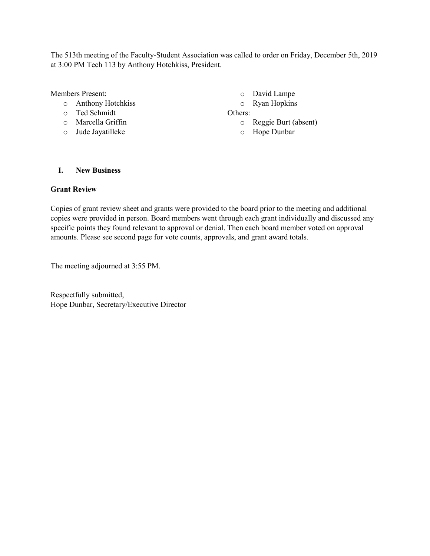The 513th meeting of the Faculty-Student Association was called to order on Friday, December 5th, 2019 at 3:00 PM Tech 113 by Anthony Hotchkiss, President.

#### Members Present:

- o Anthony Hotchkiss
- o Ted Schmidt
- o Marcella Griffin
- o Jude Jayatilleke

o David Lampe

o Ryan Hopkins

Others:

- o Reggie Burt (absent)
- o Hope Dunbar

# **I. New Business**

#### **Grant Review**

Copies of grant review sheet and grants were provided to the board prior to the meeting and additional copies were provided in person. Board members went through each grant individually and discussed any specific points they found relevant to approval or denial. Then each board member voted on approval amounts. Please see second page for vote counts, approvals, and grant award totals.

The meeting adjourned at 3:55 PM.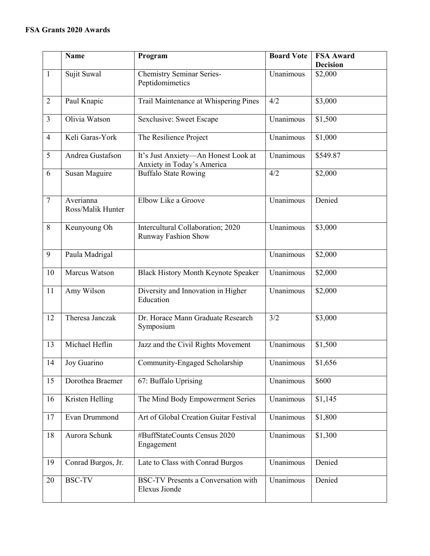|                 | <b>Name</b>                    | Program                                                           | <b>Board Vote</b> | <b>FSA Award</b><br><b>Decision</b> |
|-----------------|--------------------------------|-------------------------------------------------------------------|-------------------|-------------------------------------|
| $\mathbf{1}$    | Sujit Suwal                    | <b>Chemistry Seminar Series-</b><br>Peptidomimetics               | Unanimous         | \$2,000                             |
| $\overline{2}$  | Paul Knapic                    | Trail Maintenance at Whispering Pines                             | 4/2               | \$3,000                             |
| $\mathfrak{Z}$  | Olivia Watson                  | Sexclusive: Sweet Escape                                          | Unanimous         | \$1,500                             |
| $\overline{4}$  | Keli Garas-York                | The Resilience Project                                            | Unanimous         | \$1,000                             |
| 5               | Andrea Gustafson               | It's Just Anxiety-An Honest Look at<br>Anxiety in Today's America | Unanimous         | \$549.87                            |
| 6               | Susan Maguire                  | <b>Buffalo State Rowing</b>                                       | 4/2               | \$2,000                             |
| $7\phantom{.0}$ | Averianna<br>Ross/Malik Hunter | Elbow Like a Groove                                               | Unanimous         | Denied                              |
| $8\,$           | Keunyoung Oh                   | Intercultural Collaboration; 2020<br>Runway Fashion Show          | Unanimous         | \$3,000                             |
| 9               | Paula Madrigal                 |                                                                   | Unanimous         | \$2,000                             |
| 10              | Marcus Watson                  | <b>Black History Month Keynote Speaker</b>                        | Unanimous         | \$2,000                             |
| 11              | Amy Wilson                     | Diversity and Innovation in Higher<br>Education                   | Unanimous         | \$2,000                             |
| 12              | Theresa Janczak                | Dr. Horace Mann Graduate Research<br>Symposium                    | 3/2               | \$3,000                             |
| 13              | Michael Heflin                 | Jazz and the Civil Rights Movement                                | Unanimous         | \$1,500                             |
| 14              | Joy Guarino                    | Community-Engaged Scholarship                                     | Unanimous         | \$1,656                             |
| 15              | Dorothea Braemer               | 67: Buffalo Uprising                                              | Unanimous         | \$600                               |
| 16              | Kristen Helling                | The Mind Body Empowerment Series                                  | Unanimous         | \$1,145                             |
| 17              | Evan Drummond                  | Art of Global Creation Guitar Festival                            | Unanimous         | \$1,800                             |
| 18              | Aurora Schunk                  | #BuffStateCounts Census 2020<br>Engagement                        | Unanimous         | \$1,300                             |
| 19              | Conrad Burgos, Jr.             | Late to Class with Conrad Burgos                                  | Unanimous         | Denied                              |
| 20              | <b>BSC-TV</b>                  | <b>BSC-TV Presents a Conversation with</b><br>Elexus Jionde       | Unanimous         | Denied                              |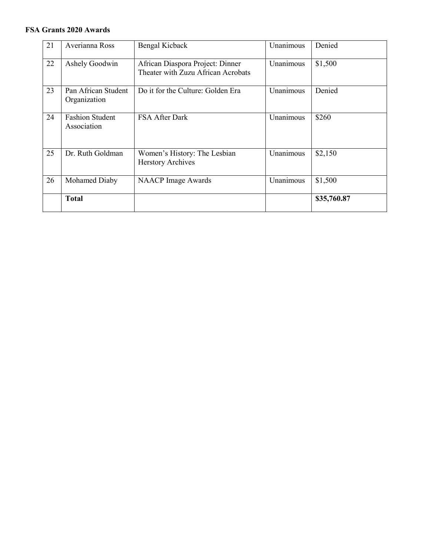# **FSA Grants 2020 Awards**

| 21 | Averianna Ross                        | Bengal Kicback                                                         | Unanimous | Denied      |
|----|---------------------------------------|------------------------------------------------------------------------|-----------|-------------|
| 22 | Ashely Goodwin                        | African Diaspora Project: Dinner<br>Theater with Zuzu African Acrobats | Unanimous | \$1,500     |
| 23 | Pan African Student<br>Organization   | Do it for the Culture: Golden Era                                      | Unanimous | Denied      |
| 24 | <b>Fashion Student</b><br>Association | FSA After Dark                                                         | Unanimous | \$260       |
| 25 | Dr. Ruth Goldman                      | Women's History: The Lesbian<br><b>Herstory Archives</b>               | Unanimous | \$2,150     |
| 26 | Mohamed Diaby                         | <b>NAACP</b> Image Awards                                              | Unanimous | \$1,500     |
|    | <b>Total</b>                          |                                                                        |           | \$35,760.87 |